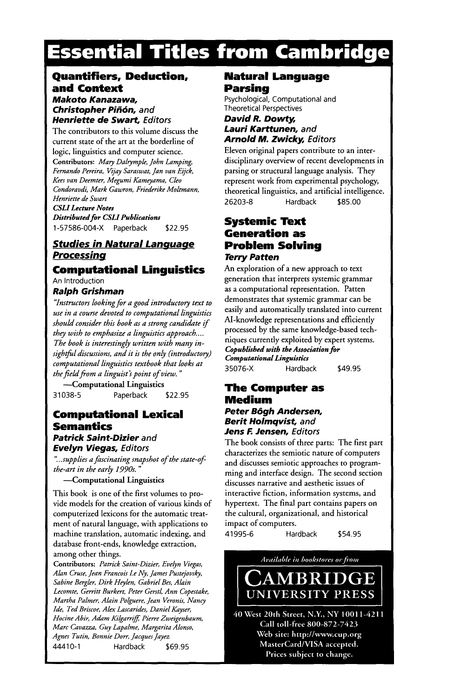# **Essential Titles from Cambridge**

#### **Quantifiers, Deduction, and Context**  *Makoto Kanazawa,*  **Christopher Piñón, and**

**Henriette de Swart, Editors** 

The contributors to this volume discuss the current state of the art at the borderline of logic, linguistics and computer science. **Contributors:** *Mary Dalrymple, John Lamping, Fernando Pereira, ½jay Saraswat, Jan van Eijck, Kees van Deemter, Megumi Kameyama, Cleo Condoravdi, Mark Gawron, Friederike Moltmann, Henriette de Swart CSLI Lecture Notes* 

*Distributed for CSLI Publications*  1-57586-004-X Paperback \$22.95

### *Studies in Natural kanguaqe Processing*

### **Computational Linguistics**

An Introduction

#### *Ralph Grishman*

*"Instructors looking for a good introductory text to use in a course devoted to computational linguistics should consider this book as a strong candidate if they wish to emphasize a linguistics approach .... The book is interestingly written with many in* $sightful$  discussions, and it is the only (introductory) *computational linguistics textbook that looks at*  the field from a linguist's point of view."

-Computational Linguistics 31038-5 Paperback \$22.95

### **Computational Lexical Semantics**

### *Patrick Saint-Dizier* **and**  *Evelyn Viegas, Editors*

*"...supplies a fascinating snapshot of the state-of the-art in the early 1990s. "* 

--Computational **Linguistics** 

This book is one of the first volumes to provide models for the creation of various kinds of computerized lexicons for the automatic treatment of natural language, with applications to machine translation, automatic indexing, and database front-ends, knowledge extraction, among other things.

Contributors: Patrick Saint-Dizier, Evelyn Viegas, Alan Cruse, Jean Francois Le Ny, James Pustejovsky, Sabine Bergler, Dirk Heylen, Gabriel Bes, Alain Lecomte, Gerritt Burkert, Peter Gerstl, Ann Copestake, Martha Palmer, Alain Polguere, Jean Veronis, Nancy Ide, Ted Briscoe, Alex Lascarides, Daniel Kayser, Hocine Abir, Adam Kilgarriff, Pierre Zweigenbaum, Marc Cavazza, Guy Lapalme, Margarita Alonso, Agnes Tutin, Bonnie Dorr, Jacques Jayez 44410-1 Hardback \$69.95

### **Natural Language Parsing**

Psychological, Computational and Theoretical Perspectives

#### *David R. Dowty, Lauri Karttunen, and Arnold M. Zwicky, Editors*

Eleven original papers contribute to an interdisciplinary overview of recent developments in parsing or structural language analysis. They represent work from experimental psychology, theoretical linguistics, and artificial intelligence. 26203-8 Hardback \$85.00

### **Systemic Text Generation as Problem Solving**  *Terry Patten*

An exploration of a new approach to text generation that interprets systemic grammar as a computational representation. Patten demonstrates that systemic grammar can be easily and automatically translated into current M-knowledge representations and efficiently processed by the same knowledge-based techniques currently exploited by expert systems. *Copubllshed with the Association for Computational Linguistics*  35076-X Hardback \$49.95

### **The Computer as Medium**

*Peter B6gh Andersen, Berit Holmqvist, and Jens F. Jensen, Ed/tors* 

The book consists of three parts: The first part characterizes the semiotic nature of computers and discusses semiotic approaches to programming and interface design. The second section discusses narrative and aesthetic issues of interactive fiction, information systems, and hypertext. The final part contains papers on the cultural, organizational, and historical impact of computers. 41995-6 Hardback \$54.95

Available in bookstores or from



40 West 20th Street, N.Y., NY 10011-4211 Call toll-free 800-872-7423 Web site: http://www.cup.org MasterCard/VISA accepted. Prices subject to change.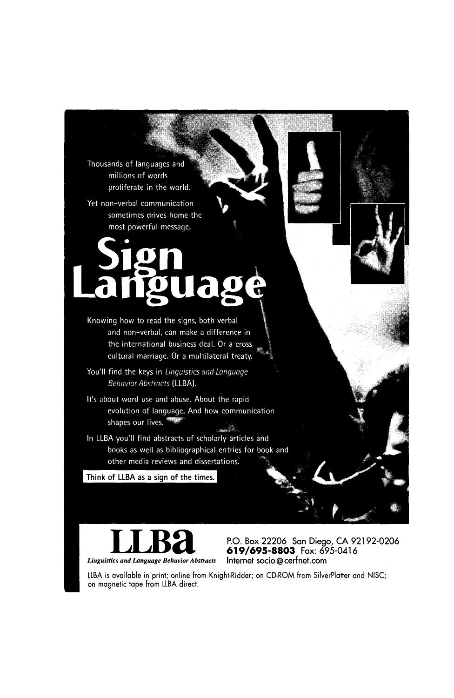Thousands of languages and millions of words proliferate in the world.

Yet non-verbal communication sometimes drives home the most powerful message.

Knowing how to read the signs, both verbal and non-verbal, can make a difference in the international business deal. Or a cross cultural marriage. Or a multilateral treaty.

You'll find the keys in Linguistics and Language **Behavior Abstracts (LLBA).** 

It's about word use and abuse. About the rapid evolution of language. And how communication shapes our lives. J.

In LLBA you'll find abstracts of scholarly articles and books as well as bibliographical entries for book and other media reviews and dissertations.

Think of LLBA as a sign of the times.

**Linguistics and Language Behavior Abstracts** 

P.O. Box 22206 San Diego, CA 92192-0206 **619/695-8803** Fax: 695-0416

LLBA is available in print; online from Knight-Ridder; on CO-ROM from SilverPlatter and NISC; on magnetic tape from LLBA direct.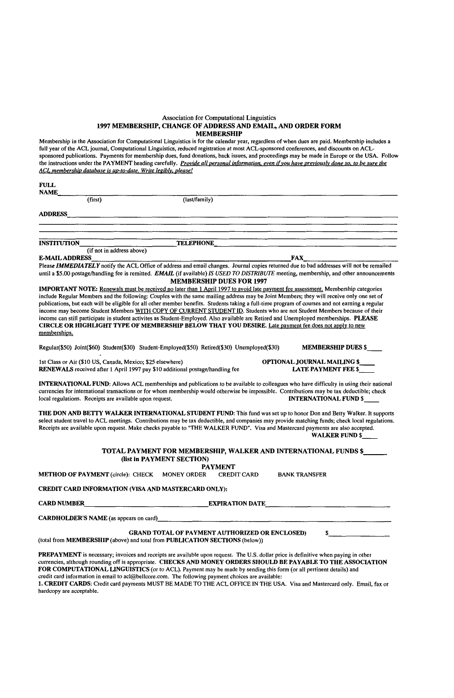#### Association for Computational Linguistics 1997 MEMBERSHIP, CHANGE OF ADDRESS AND EMAIL, AND ORDER FORM MEMBERSHIP

Membership in the Association for Computational Linguistics is for the calendar year, regardless of when dues are paid. Membership includes a<br>full year of the ACL journal, Computational Linguistics, reduced registration at the instructions under the PAYMENT heading carefully. *Provide all oersonal information, even if you have oreviouslv done so. to be sure the ACL membershio database is uo-to-date. Write leeiblv, olease!* 

| FULL<br><b>NAME</b>                                                                                                                                                                                                                                                                                                                                                                                                                                                                                                                                                                                                                                                                                                                                                                                                                |                                                                                              |                                                                                                                                                                                                                                                                                                                     |
|------------------------------------------------------------------------------------------------------------------------------------------------------------------------------------------------------------------------------------------------------------------------------------------------------------------------------------------------------------------------------------------------------------------------------------------------------------------------------------------------------------------------------------------------------------------------------------------------------------------------------------------------------------------------------------------------------------------------------------------------------------------------------------------------------------------------------------|----------------------------------------------------------------------------------------------|---------------------------------------------------------------------------------------------------------------------------------------------------------------------------------------------------------------------------------------------------------------------------------------------------------------------|
| (first)                                                                                                                                                                                                                                                                                                                                                                                                                                                                                                                                                                                                                                                                                                                                                                                                                            | (last/family)                                                                                |                                                                                                                                                                                                                                                                                                                     |
| <b>ADDRESS</b>                                                                                                                                                                                                                                                                                                                                                                                                                                                                                                                                                                                                                                                                                                                                                                                                                     |                                                                                              |                                                                                                                                                                                                                                                                                                                     |
|                                                                                                                                                                                                                                                                                                                                                                                                                                                                                                                                                                                                                                                                                                                                                                                                                                    |                                                                                              |                                                                                                                                                                                                                                                                                                                     |
| <b>INSTITUTION</b>                                                                                                                                                                                                                                                                                                                                                                                                                                                                                                                                                                                                                                                                                                                                                                                                                 | <b>TELEPHONE</b>                                                                             |                                                                                                                                                                                                                                                                                                                     |
| (if not in address above)<br><b>E-MAIL ADDRESS</b>                                                                                                                                                                                                                                                                                                                                                                                                                                                                                                                                                                                                                                                                                                                                                                                 |                                                                                              | FAX                                                                                                                                                                                                                                                                                                                 |
|                                                                                                                                                                                                                                                                                                                                                                                                                                                                                                                                                                                                                                                                                                                                                                                                                                    | <b>MEMBERSHIP DUES FOR 1997</b>                                                              | Please IMMEDIATELY notify the ACL Office of address and email changes. Journal copies returned due to bad addresses will not be remailed<br>until a \$5.00 postage/handling fee is remitted. EMAIL (if available) IS USED TO DISTRIBUTE meeting, membership, and other announcements                                |
| <b>IMPORTANT NOTE:</b> Renewals must be received no later than 1 April 1997 to avoid late payment fee assessment. Membership categories<br>include Regular Members and the following: Couples with the same mailing address may be Joint Members; they will receive only one set of<br>publications, but each will be eligible for all other member benefits. Students taking a full-time program of courses and not earning a regular<br>income may become Student Members WITH COPY OF CURRENT STUDENT ID. Students who are not Student Members because of their<br>income can still participate in student activites as Student-Employed. Also available are Retired and Unemployed memberships. PLEASE<br>CIRCLE OR HIGHLIGHT TYPE OF MEMBERSHIP BELOW THAT YOU DESIRE. Late payment fee does not apply to new<br>memberships. |                                                                                              |                                                                                                                                                                                                                                                                                                                     |
| Regular(\$50) Joint(\$60) Student(\$30) Student-Employed(\$50) Retired(\$30) Unemployed(\$30)                                                                                                                                                                                                                                                                                                                                                                                                                                                                                                                                                                                                                                                                                                                                      |                                                                                              | <b>MEMBERSHIP DUES \$</b>                                                                                                                                                                                                                                                                                           |
| 1st Class or Air (\$10 US, Canada, Mexico; \$25 elsewhere)<br><b>RENEWALS</b> received after 1 April 1997 pay \$10 additional postage/handling fee                                                                                                                                                                                                                                                                                                                                                                                                                                                                                                                                                                                                                                                                                 |                                                                                              | OPTIONAL JOURNAL MAILING \$<br>LATE PAYMENT FEE \$                                                                                                                                                                                                                                                                  |
| local regulations. Receipts are available upon request.                                                                                                                                                                                                                                                                                                                                                                                                                                                                                                                                                                                                                                                                                                                                                                            |                                                                                              | <b>INTERNATIONAL FUND:</b> Allows ACL memberships and publications to be available to colleagues who have difficulty in using their national<br>currencies for international transactions or for whom membership would otherwise be impossible. Contributions may be tax deductible; check<br>INTERNATIONAL FUND \$ |
| Receipts are available upon request. Make checks payable to "THE WALKER FUND". Visa and Mastercard payments are also accepted.                                                                                                                                                                                                                                                                                                                                                                                                                                                                                                                                                                                                                                                                                                     |                                                                                              | THE DON AND BETTY WALKER INTERNATIONAL STUDENT FUND: This fund was set up to honor Don and Betty Walker. It supports<br>select student travel to ACL meetings. Contributions may be tax deductible, and companies may provide matching funds; check local regulations.<br><b>WALKER FUND \$</b>                     |
|                                                                                                                                                                                                                                                                                                                                                                                                                                                                                                                                                                                                                                                                                                                                                                                                                                    | TOTAL PAYMENT FOR MEMBERSHIP, WALKER AND INTERNATIONAL FUNDS \$<br>(list in PAYMENT SECTION) |                                                                                                                                                                                                                                                                                                                     |
| <b>METHOD OF PAYMENT</b> (circle): CHECK                                                                                                                                                                                                                                                                                                                                                                                                                                                                                                                                                                                                                                                                                                                                                                                           | <b>PAYMENT</b><br><b>MONEY ORDER</b><br><b>CREDIT CARD</b>                                   | <b>BANK TRANSFER</b>                                                                                                                                                                                                                                                                                                |
| CREDIT CARD INFORMATION (VISA AND MASTERCARD ONLY):                                                                                                                                                                                                                                                                                                                                                                                                                                                                                                                                                                                                                                                                                                                                                                                |                                                                                              |                                                                                                                                                                                                                                                                                                                     |
| CARD NUMBER                                                                                                                                                                                                                                                                                                                                                                                                                                                                                                                                                                                                                                                                                                                                                                                                                        | <b>EXPIRATION DATE</b>                                                                       |                                                                                                                                                                                                                                                                                                                     |
| <b>CARDHOLDER'S NAME</b> (as appears on card)                                                                                                                                                                                                                                                                                                                                                                                                                                                                                                                                                                                                                                                                                                                                                                                      |                                                                                              |                                                                                                                                                                                                                                                                                                                     |
|                                                                                                                                                                                                                                                                                                                                                                                                                                                                                                                                                                                                                                                                                                                                                                                                                                    |                                                                                              |                                                                                                                                                                                                                                                                                                                     |
| (total from MEMBERSHIP (above) and total from PUBLICATION SECTIONS (below))                                                                                                                                                                                                                                                                                                                                                                                                                                                                                                                                                                                                                                                                                                                                                        | <b>GRAND TOTAL OF PAYMENT AUTHORIZED OR ENCLOSED)</b>                                        | \$                                                                                                                                                                                                                                                                                                                  |

PREPAYMENT is necessary; invoices and receipts are available upon request. The U.S. dollar price is definitive when paying in other<br>currencies, although rounding off is appropriate. CHECKS AND MONEY ORDERS SHOULD BE PAYABL FOR COMPUTATIONAL LINGUISTICS (or to ACL). Payment may be made by sending this form (or all pertinent details) and credit card information in email to acl@bellcore.com. The following payment choices are available: 1. CREDIT CARDS: Credit card payments MUST BE MADE TO THE ACL OFFICE IN THE USA. Visa and Mastercard only. Email, fax or hardcopy are acceptable.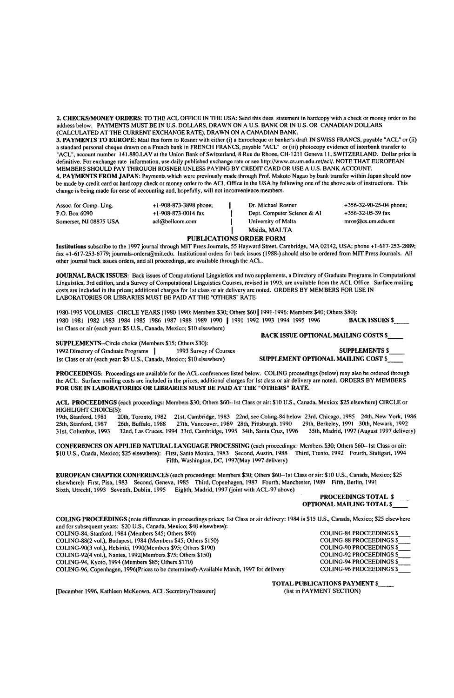2. CHECKS/MONEY ORDERS: TO THE ACL OFFICE IN THE USA: Send this dues statement in hardcopy with a check or money order to the address below. PAYMENTS MUST BE IN U.S. DOLLARS, DRAWN ON A U.S. BANK OR IN U.S. OR CANADIAN DOLLARS (CALCULATED AT THE CURRENT EXCHANGE RATE), DRAWN ON A CANADIAN BANK.

**3. PAYMENTS TO** EUROPE: Mail this form to Rusher with either (i) a Eurocheque or banker's draft IN SWISS FRANCS, payable "ACL" or (it) a standard personal cheque drawn on a French bank in FRENCH FRANCS, payable "ACL" or (iii) photocopy evidence of intetbank transfer to "ACL", account number 141.880.LAV at the Union Bank of Switzerland, 8 Rue du Rhone, CH-121l Geneva 11, SWITZERLAND. Dollar price is definitive. For exchange rate information, use daily published exchange rate or see http://www.cs.um.edu.mt/acl/. NOTE THAT EUROPEAN MEMBERS SHOULD PAY THROUGH ROSNER UNLESS PAYING BY CREDIT CARD OR USE A U.S. BANK ACCOUNT.

**4. PAYMENTS FROM** JAPAN: Payments which were previously made through Prof. Makoto Nagao by bank transfer within Japan should now be made by credit card or hardcopy check or money order to the ACL Office in the USA by following one of the above sets of instructions. This change is being made for ease of accounting and, hopefully, will not inconvenience members.

| Assoc. for Comp. Ling. | $+1-908-873-3898$ phone;    | Dr. Michael Rosner          | $+356-32-90-25-04$ phone; |
|------------------------|-----------------------------|-----------------------------|---------------------------|
| P.O. Box 6090          | $+1 - 908 - 873 - 0014$ fax | Dept. Computer Science & Al | +356-32-05-39 fax         |
| Somerset, NJ 08875 USA | acl@bellcore.com            | University of Malta         | mros@cs.um.edu.mt         |
|                        |                             | Msida, MALTA                |                           |

#### PUBLICATIONS ORDER **FORM**

Institutions subscribe to the 1997 journal through MIT Press Journals, 55 Hayward Street, Cambridge, MA 02142, USA; phone +1-617-253-2889; fax +1-617-253-6779; journals-orders@mit.edu. Institutional orders for back issues (1988-) should also be ordered from MIT Press Journals. All other journal back issues orders, and all proceedings, are available through the ACL.

JOURNAL **BACK ISSUES:** Back issues of Computational Linguistics and two supplements, a Directory of Graduate Programs in Computational Linguistics, 3rd edition, and a Survey of Computational Linguistics Courses, revised in 1993. are available from the ACL Office. Surface mailing costs are included in the prices; additional charges for 1st class or air delivery are noted. ORDERS BY MEMBERS FOR USE IN LABORATORIES OR LIBRARIES MUST BE PAID AT THE "OTHERS" RATE.

1980-1995 VOLUMES--CIRCLE YEARS (1980-1990: Members \$30; Others \$60 | 1991-1996: Members \$40; Others \$80):<br>1980 1981 1982 1983 1984 1985 1986 1987 1988 1989 1990 | 1991 1992 1993 1994 1995 1996 **BACK ISSUES \$** 1980 1981 1982 1983 1984 1985 1986 1987 1988 1989 1990 | 1991 1992 1993 1994 1995 1996 1st Class or air (each year: \$5 U.S., Canada, Mexico; \$10 elsewhere)

SUPPLEMENTS--Circle choice (Members \$15; Others \$30): 1992 Directory of Graduate Programs ] 1993 Survey of Courses SUPPLEMENTS \$ 1st Class or air (each year: \$5 U.S., Canada, Mexico; \$10 elsewhere)

BACK ISSUE OPTIONAL MAILING COSTS \$

**PROCEEDINGS:** Proceedings are available for the ACL conferences listed below. COLING proceedings (below) may also be ordered through the ACL. Surface mailing costs are included in the prices; additional charges for 1st class or air delivery are noted. ORDERS BY MEMBERS FOR USE IN LABORATORIES OR LIBRARIES MUST BE PAID AT THE "OTHERS" RATE.

**ACL** PROCEEDINGS (each proceedings: Members \$30; Others \$60.-lst Class or air: \$10 U.S., Canada, Mexico: \$25 elsewhere) CIRCLE or HIGHLIGHT CHOICE(S):<br>19th, Stanford, 1981 20

19th, Stanford, 1981 — 20th, Toronto, 1982— 21st, Cambridge, 1983—22nd, see Coling-84 below-23rd, Chicago, 1985—24th, New York, 1986<br>25th, Stanford, 1987— 26th, Buffalo, 1988— 27th, Vancouver, 1989—28th, Pittsburgh, 1990—

CONFERENCES ON APPLIED NATURAL LANGUAGE PROCESSING (each proceedings: Members \$30; Others \$60--1st Class or air<br>\$10 U.S., Cnada, Mexico; \$25 elsewhere): First, Santa Monica, 1983 - Second, Austin, 1988 - Third, Trento, 199 Fifth, Washington, DC, 1997(May 1997 delivery)

EUROPEAN CHAPTER CONFERENCES (each proceedings: Members \$30; Others \$60--lst Class or air: \$10 U.S., Canada, Mexico; \$25 elsewhere): First, Pisa, 1983 Second, Geneva, 1985 Third, Copenhagen, 1987 Fourth, Manchester, 1989 Fifth, Berlin, 1991 Sixth, Utrecht, 1993 Seventh, Dublin, 1995 Eighth, Madrid, 1997 (joint with ACL-97 above)

**PROCEEDINGS** TOTAL \$ **OPTIONAL** MAILING TOTAL \$

COILING PROCEEDINGS (note differences in proceedings prices; 1st Class or air delivery: 1984 is \$15 U.S., Canada, Mexico; \$25 elsewhere and for subsequent years: \$20 U.S., Canada, Mexico; \$40 elsewhere): COLING-84, Stanford, 1984 (Members \$45; Others \$90) COLING-84 PROCEEDINGS \$<br>COLING-88(2 vol.), Budapest, 1984 (Members \$45; Others \$150) COLING-88 PROCEEDINGS \$ COLING-88(2 vol.), Budapest, 1984 (Members \$45; Others \$150) COLING-88 PROCEEDINGS \$ COLING-90(3 vol.), Helsinki, 1990(Members \$95; Others \$190)<br>COLING-92(4 vol.), Nantes, 1992(Members \$75; Others \$150) COLING-92 PROCEEDINGS \$ COLING-92(4 vol.), Nantes, 1992(Members \$75; Others \$150) COLING-92 PROCEEDINGS \$<br>COLING-94, Kvoto, 1994 (Members \$85; Others \$170) COLING-94 PROCEEDINGS \$ COLING-94, Kyoto, 1994 (Members \$85; Others \$170)<br>COLING-96, Copenhagen, 1996(Prices to be determined)-Available March, 1997 for delivery COLING-96 PROCEEDINGS \$ COLING-96, Copenhagen, 1996(Prices to be determined)-Available March, 1997 for delivery

[December 1996, Kathleen McKeown, ACL Secretary/Treasurer]

**TOTAL PUBLICATIONS PAYMENT \$\_**<br>(list in PAYMENT SECTION)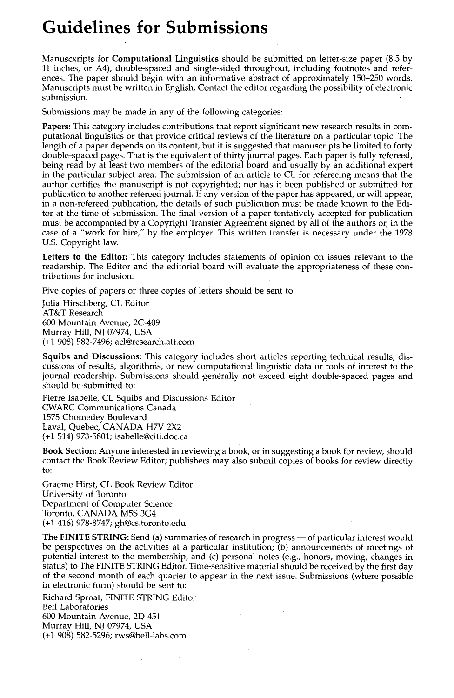## **Guidelines for Submissions**

Manuscxripts for Computational Linguistics should be submitted on letter-size paper (8.5 by 11 inches, or A4), double-spaced and single-sided throughout, including footnotes and references. The paper should begin with an informative abstract of approximately 150-250 words. Manuscripts must be written in English. Contact the editor regarding the possibility of electronic submission.

Submissions may be made in any of the following categories:

**Papers:** This category includes contributions that report significant new research results in computational linguistics or that provide critical reviews of the literature on a particular topic. The length of a paper depends on its content, but it is suggested that manuscripts be limited to forty double-spaced pages. That is the equivalent of thirty journal pages. Each paper is fully refereed, being read by at least two members of the editorial board and usually by an additional expert in the particular subject area. The submission of an article to CL for refereeing means that the author certifies the manuscript is not copyrighted; nor has it been published or submitted for publication to another refereed journal. If any version of the paper has appeared, or will appear, in a non-refereed publication, the details of such publication must be made known to the Editor at the time of submission. The final version of a paper tentatively accepted for publication must be accompanied by a Copyright Transfer Agreement signed by all of the authors or, in the case of a "work for hire," by the employer. This written transfer is necessary under the 1978 U.S. Copyright law.

**Letters to the Editor:** This category includes statements of opinion on issues relevant to the readership. The Editor and the editorial board will evaluate the appropriateness of these contributions for inclusion.

Five copies of papers or three copies of letters should be sent to:

Julia Hirschberg, CL Editor AT&T Research 600 Mountain Avenue, 2C-409 Murray Hill, NJ 07974, USA (+1 908) 582-7496; acl@research.att.com

**Squibs and Discussions:** This category includes short articles reporting technical results, discussions of results, algorithms, or new computational linguistic data or tools of interest to the journal readership. Submissions should generally not exceed eight double-spaced pages and should be submitted to:

Pierre Isabelle, CL Squibs and Discussions Editor CWARC Communications Canada 1575 Chomedey Boulevard Laval, Quebec, CANADA H7V 2X2 (+1 514) 973-5801; isabelle@citi.doc.ca

**Book Section:** Anyone interested in reviewing a book, or in suggesting a book for review, should contact the Book Review Editor; publishers may also submit copies of books for review directly to:

Graeme Hirst, CL Book Review Editor University of Toronto Department of Computer Science Toronto, CANADA MSS 3G4 (+1 416) 978-8747; gh@cs.toronto.edu

**The FINITE STRING:** Send (a) summaries of research in progress — of particular interest would be perspectives on the activities at a particular institution; (b) announcements of meetings of potential interest to the membership; and (c) personal notes (e.g., honors, moving, changes in status) to The FINITE STRING Editor. Time-sensitive material should be received by the first day of the second month of each quarter to appear in the next issue. Submissions (where possible in electronic form) should be sent to:

Richard Sproat, FINITE STRING Editor Bell Laboratories 600 Mountain Avenue, 2D-451 Murray Hill, NJ 07974, USA (+1 908) 582-5296; rws@bell-labs.com